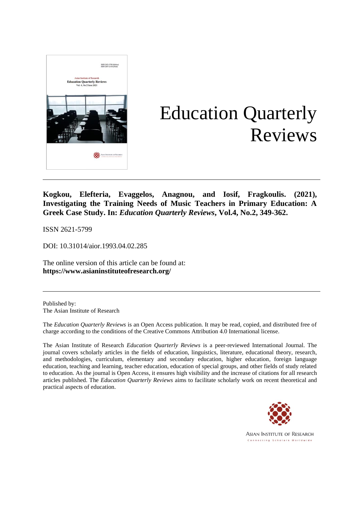

# Education Quarterly Reviews

**Kogkou, Elefteria, Evaggelos, Anagnou, and Iosif, Fragkoulis. (2021), Investigating the Training Needs of Music Teachers in Primary Education: A Greek Case Study. In:** *Education Quarterly Reviews***, Vol.4, No.2, 349-362.**

ISSN 2621-5799

DOI: 10.31014/aior.1993.04.02.285

The online version of this article can be found at: **[https://www.](about:blank)asianinstituteofresearch.org/**

Published by: The Asian Institute of Research

The *Education Quarterly Reviews* is an Open Access publication. It may be read, copied, and distributed free of charge according to the conditions of the Creative Commons Attribution 4.0 International license.

The Asian Institute of Research *Education Quarterly Reviews* is a peer-reviewed International Journal. The journal covers scholarly articles in the fields of education, linguistics, literature, educational theory, research, and methodologies, curriculum, elementary and secondary education, higher education, foreign language education, teaching and learning, teacher education, education of special groups, and other fields of study related to education. As the journal is Open Access, it ensures high visibility and the increase of citations for all research articles published. The *Education Quarterly Reviews* aims to facilitate scholarly work on recent theoretical and practical aspects of education.



**ASIAN INSTITUTE OF RESEARCH** Connecting Scholars Worldwide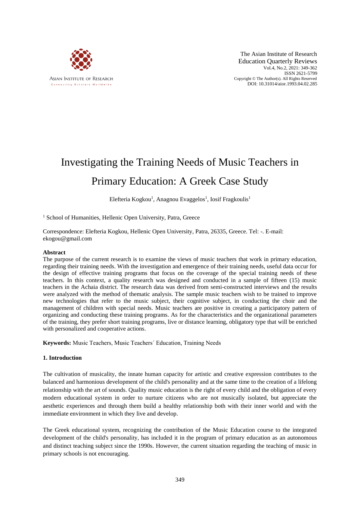

The Asian Institute of Research Education Quarterly Reviews Vol.4, No.2, 2021: 349-362 ISSN 2621-5799 Copyright © The Author(s). All Rights Reserved DOI: 10.31014/aior.1993.04.02.285

# Investigating the Training Needs of Music Teachers in Primary Education: A Greek Case Study

Elefteria Kogkou<sup>1</sup>, Anagnou Evaggelos<sup>1</sup>, Iosif Fragkoulis<sup>1</sup>

<sup>1</sup> School of Humanities, Hellenic Open University, Patra, Greece

Correspondence: Elefteria Kogkou, Hellenic Open University, Patra, 26335, Greece. Tel: -. E-mail: ekogou@gmail.com

# **Abstract**

The purpose of the current research is to examine the views of music teachers that work in primary education, regarding their training needs. With the investigation and emergence of their training needs, useful data occur for the design of effective training programs that focus on the coverage of the special training needs of these teachers. In this context, a quality research was designed and conducted in a sample of fifteen (15) music teachers in the Achaia district. The research data was derived from semi-constructed interviews and the results were analyzed with the method of thematic analysis. The sample music teachers wish to be trained to improve new technologies that refer to the music subject, their cognitive subject, in conducting the choir and the management of children with special needs. Music teachers are positive in creating a participatory pattern of organizing and conducting these training programs. As for the characteristics and the organizational parameters of the training, they prefer short training programs, live or distance learning, obligatory type that will be enriched with personalized and cooperative actions.

**Keywords:** Music Teachers, Music Teachers΄ Education, Training Needs

# **1. Introduction**

The cultivation of musicality, the innate human capacity for artistic and creative expression contributes to the balanced and harmonious development of the child's personality and at the same time to the creation of a lifelong relationship with the art of sounds. Quality music education is the right of every child and the obligation of every modern educational system in order to nurture citizens who are not musically isolated, but appreciate the aesthetic experiences and through them build a healthy relationship both with their inner world and with the immediate environment in which they live and develop.

The Greek educational system, recognizing the contribution of the Music Education course to the integrated development of the child's personality, has included it in the program of primary education as an autonomous and distinct teaching subject since the 1990s. However, the current situation regarding the teaching of music in primary schools is not encouraging.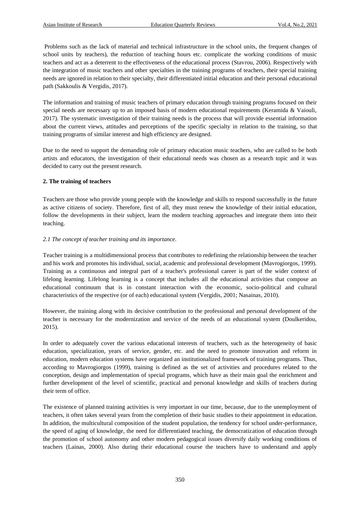Problems such as the lack of material and technical infrastructure in the school units, the frequent changes of school units by teachers), the reduction of teaching hours etc. complicate the working conditions of music teachers and act as a deterrent to the effectiveness of the educational process (Stavrou, 2006). Respectively with the integration of music teachers and other specialties in the training programs of teachers, their special training needs are ignored in relation to their specialty, their differentiated initial education and their personal educational path (Sakkoulis & Vergidis, 2017).

The information and training of music teachers of primary education through training programs focused on their special needs are necessary up to an imposed basis of modern educational requirements (Keramida & Vaiouli, 2017). The systematic investigation of their training needs is the process that will provide essential information about the current views, attitudes and perceptions of the specific specialty in relation to the training, so that training programs of similar interest and high efficiency are designed.

Due to the need to support the demanding role of primary education music teachers, who are called to be both artists and educators, the investigation of their educational needs was chosen as a research topic and it was decided to carry out the present research.

# **2. The training of teachers**

Teachers are those who provide young people with the knowledge and skills to respond successfully in the future as active citizens of society. Therefore, first of all, they must renew the knowledge of their initial education, follow the developments in their subject, learn the modern teaching approaches and integrate them into their teaching.

# *2.1 The concept of teacher training and its importance.*

Teacher training is a multidimensional process that contributes to redefining the relationship between the teacher and his work and promotes his individual, social, academic and professional development (Mavrogiorgos, 1999). Training as a continuous and integral part of a teacher's professional career is part of the wider context of lifelong learning. Lifelong learning is a concept that includes all the educational activities that compose an educational continuum that is in constant interaction with the economic, socio-political and cultural characteristics of the respective (or of each) educational system (Vergidis, 2001; Nasainas, 2010).

However, the training along with its decisive contribution to the professional and personal development of the teacher is necessary for the modernization and service of the needs of an educational system (Doulkeridou, 2015).

In order to adequately cover the various educational interests of teachers, such as the heterogeneity of basic education, specialization, years of service, gender, etc. and the need to promote innovation and reform in education, modern education systems have organized an institutionalized framework of training programs. Thus, according to Mavrogiorgos (1999), training is defined as the set of activities and procedures related to the conception, design and implementation of special programs, which have as their main goal the enrichment and further development of the level of scientific, practical and personal knowledge and skills of teachers during their term of office.

The existence of planned training activities is very important in our time, because, due to the unemployment of teachers, it often takes several years from the completion of their basic studies to their appointment in education. In addition, the multicultural composition of the student population, the tendency for school under-performance, the speed of aging of knowledge, the need for differentiated teaching, the democratization of education through the promotion of school autonomy and other modern pedagogical issues diversify daily working conditions of teachers (Lainas, 2000). Also during their educational course the teachers have to understand and apply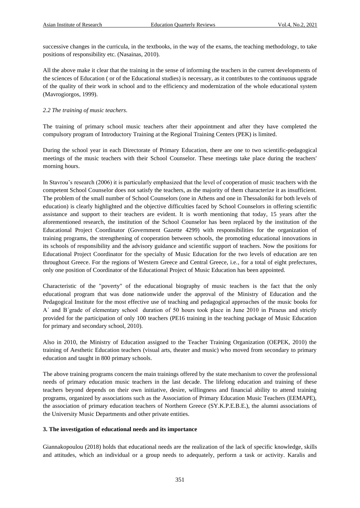successive changes in the curricula, in the textbooks, in the way of the exams, the teaching methodology, to take positions of responsibility etc. (Nasainas, 2010).

All the above make it clear that the training in the sense of informing the teachers in the current developments of the sciences of Education ( or of the Educational studies) is necessary, as it contributes to the continuous upgrade of the quality of their work in school and to the efficiency and modernization of the whole educational system (Mavrogiorgos, 1999).

# *2.2 The training of music teachers.*

The training of primary school music teachers after their appointment and after they have completed the compulsory program of Introductory Training at the Regional Training Centers (PEK) is limited.

During the school year in each Directorate of Primary Education, there are one to two scientific-pedagogical meetings of the music teachers with their School Counselor. These meetings take place during the teachers' morning hours.

In Stavrou's research (2006) it is particularly emphasized that the level of cooperation of music teachers with the competent School Counselor does not satisfy the teachers, as the majority of them characterize it as insufficient. The problem of the small number of School Counselors (one in Athens and one in Thessaloniki for both levels of education) is clearly highlighted and the objective difficulties faced by School Counselors in offering scientific assistance and support to their teachers are evident. It is worth mentioning that today, 15 years after the aforementioned research, the institution of the School Counselor has been replaced by the institution of the Educational Project Coordinator (Government Gazette 4299) with responsibilities for the organization of training programs, the strengthening of cooperation between schools, the promoting educational innovations in its schools of responsibility and the advisory guidance and scientific support of teachers. Now the positions for Educational Project Coordinator for the specialty of Music Education for the two levels of education are ten throughout Greece. For the regions of Western Greece and Central Greece, i.e., for a total of eight prefectures, only one position of Coordinator of the Educational Project of Music Education has been appointed.

Characteristic of the "poverty" of the educational biography of music teachers is the fact that the only educational program that was done nationwide under the approval of the Ministry of Education and the Pedagogical Institute for the most effective use of teaching and pedagogical approaches of the music books for A΄ and B΄grade of elementary school duration of 50 hours took place in June 2010 in Piraeus and strictly provided for the participation of only 100 teachers (PE16 training in the teaching package of Music Education for primary and secondary school, 2010).

Also in 2010, the Ministry of Education assigned to the Teacher Training Organization (OEPEK, 2010) the training of Aesthetic Education teachers (visual arts, theater and music) who moved from secondary to primary education and taught in 800 primary schools.

The above training programs concern the main trainings offered by the state mechanism to cover the professional needs of primary education music teachers in the last decade. The lifelong education and training of these teachers beyond depends on their own initiative, desire, willingness and financial ability to attend training programs, organized by associations such as the Association of Primary Education Music Teachers (EEMAPE), the association of primary education teachers of Northern Greece (SY.K.P.E.B.E.), the alumni associations of the University Music Departments and other private entities.

#### **3. The investigation of educational needs and its importance**

Giannakopoulou (2018) holds that educational needs are the realization of the lack of specific knowledge, skills and attitudes, which an individual or a group needs to adequately, perform a task or activity. Karalis and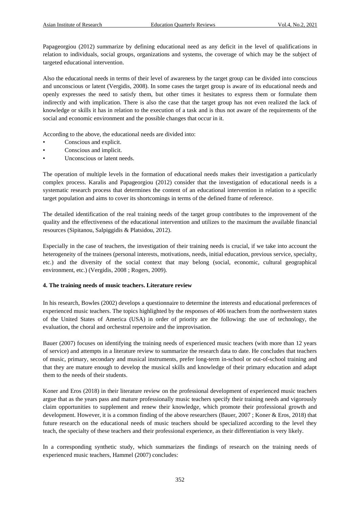Papageorgiou (2012) summarize by defining educational need as any deficit in the level of qualifications in relation to individuals, social groups, organizations and systems, the coverage of which may be the subject of targeted educational intervention.

Also the educational needs in terms of their level of awareness by the target group can be divided into conscious and unconscious or latent (Vergidis, 2008). In some cases the target group is aware of its educational needs and openly expresses the need to satisfy them, but other times it hesitates to express them or formulate them indirectly and with implication. There is also the case that the target group has not even realized the lack of knowledge or skills it has in relation to the execution of a task and is thus not aware of the requirements of the social and economic environment and the possible changes that occur in it.

According to the above, the educational needs are divided into:

- Conscious and explicit.
- Conscious and implicit.
- Unconscious or latent needs.

The operation of multiple levels in the formation of educational needs makes their investigation a particularly complex process. Karalis and Papageorgiou (2012) consider that the investigation of educational needs is a systematic research process that determines the content of an educational intervention in relation to a specific target population and aims to cover its shortcomings in terms of the defined frame of reference.

The detailed identification of the real training needs of the target group contributes to the improvement of the quality and the effectiveness of the educational intervention and utilizes to the maximum the available financial resources (Sipitanou, Salpiggidis & Platsidou, 2012).

Especially in the case of teachers, the investigation of their training needs is crucial, if we take into account the heterogeneity of the trainees (personal interests, motivations, needs, initial education, previous service, specialty, etc.) and the diversity of the social context that may belong (social, economic, cultural geographical environment, etc.) (Vergidis, 2008 ; Rogers, 2009).

# **4. The training needs of music teachers. Literature review**

In his research, Bowles (2002) develops a questionnaire to determine the interests and educational preferences of experienced music teachers. The topics highlighted by the responses of 406 teachers from the northwestern states of the United States of America (USA) in order of priority are the following: the use of technology, the evaluation, the choral and orchestral repertoire and the improvisation.

Bauer (2007) focuses on identifying the training needs of experienced music teachers (with more than 12 years of service) and attempts in a literature review to summarize the research data to date. He concludes that teachers of music, primary, secondary and musical instruments, prefer long-term in-school or out-of-school training and that they are mature enough to develop the musical skills and knowledge of their primary education and adapt them to the needs of their students.

Koner and Eros (2018) in their literature review on the professional development of experienced music teachers argue that as the years pass and mature professionally music teachers specify their training needs and vigorously claim opportunities to supplement and renew their knowledge, which promote their professional growth and development. However, it is a common finding of the above researchers (Bauer, 2007 ; Koner & Eros, 2018) that future research on the educational needs of music teachers should be specialized according to the level they teach, the specialty of these teachers and their professional experience, as their differentiation is very likely.

In a corresponding synthetic study, which summarizes the findings of research on the training needs of experienced music teachers, Hammel (2007) concludes: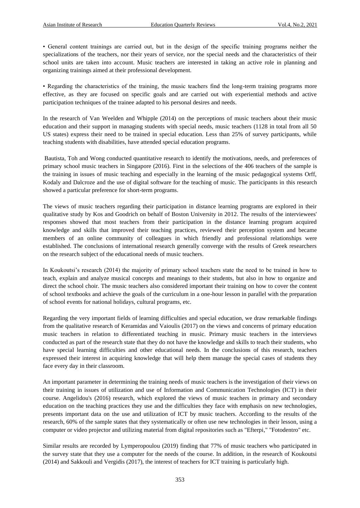• General content trainings are carried out, but in the design of the specific training programs neither the specializations of the teachers, nor their years of service, nor the special needs and the characteristics of their school units are taken into account. Music teachers are interested in taking an active role in planning and organizing trainings aimed at their professional development.

• Regarding the characteristics of the training, the music teachers find the long-term training programs more effective, as they are focused on specific goals and are carried out with experiential methods and active participation techniques of the trainee adapted to his personal desires and needs.

In the research of Van Weelden and Whipple (2014) on the perceptions of music teachers about their music education and their support in managing students with special needs, music teachers (1128 in total from all 50 US states) express their need to be trained in special education. Less than 25% of survey participants, while teaching students with disabilities, have attended special education programs.

Bautista, Toh and Wong conducted quantitative research to identify the motivations, needs, and preferences of primary school music teachers in Singapore (2016). First in the selections of the 406 teachers of the sample is the training in issues of music teaching and especially in the learning of the music pedagogical systems Orff, Kodaly and Dalcroze and the use of digital software for the teaching of music. The participants in this research showed a particular preference for short-term programs.

The views of music teachers regarding their participation in distance learning programs are explored in their qualitative study by Kos and Goodrich on behalf of Boston University in 2012. The results of the interviewees' responses showed that most teachers from their participation in the distance learning program acquired knowledge and skills that improved their teaching practices, reviewed their perception system and became members of an online community of colleagues in which friendly and professional relationships were established. The conclusions of international research generally converge with the results of Greek researchers on the research subject of the educational needs of music teachers.

In Koukoutsi's research (2014) the majority of primary school teachers state the need to be trained in how to teach, explain and analyze musical concepts and meanings to their students, but also in how to organize and direct the school choir. The music teachers also considered important their training on how to cover the content of school textbooks and achieve the goals of the curriculum in a one-hour lesson in parallel with the preparation of school events for national holidays, cultural programs, etc.

Regarding the very important fields of learning difficulties and special education, we draw remarkable findings from the qualitative research of Keramidas and Vaioulis (2017) on the views and concerns of primary education music teachers in relation to differentiated teaching in music. Primary music teachers in the interviews conducted as part of the research state that they do not have the knowledge and skills to teach their students, who have special learning difficulties and other educational needs. In the conclusions of this research, teachers expressed their interest in acquiring knowledge that will help them manage the special cases of students they face every day in their classroom.

An important parameter in determining the training needs of music teachers is the investigation of their views on their training in issues of utilization and use of Information and Communication Technologies (ICT) in their course. Angelidou's (2016) research, which explored the views of music teachers in primary and secondary education on the teaching practices they use and the difficulties they face with emphasis on new technologies, presents important data on the use and utilization of ICT by music teachers. According to the results of the research, 60% of the sample states that they systematically or often use new technologies in their lesson, using a computer or video projector and utilizing material from digital repositories such as "Efterpi," "Fotodentro" etc.

Similar results are recorded by Lymperopoulou (2019) finding that 77% of music teachers who participated in the survey state that they use a computer for the needs of the course. In addition, in the research of Koukoutsi (2014) and Sakkouli and Vergidis (2017), the interest of teachers for ICT training is particularly high.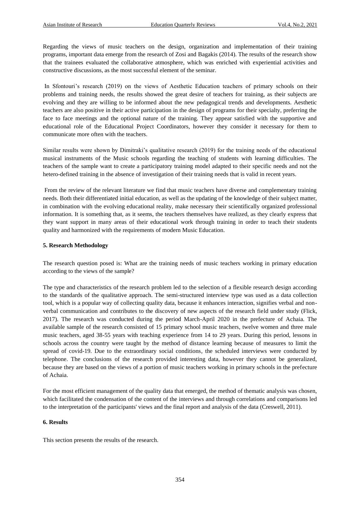Regarding the views of music teachers on the design, organization and implementation of their training programs, important data emerge from the research of Zosi and Bagakis (2014). The results of the research show that the trainees evaluated the collaborative atmosphere, which was enriched with experiential activities and constructive discussions, as the most successful element of the seminar.

In Sfontouri's research (2019) on the views of Aesthetic Education teachers of primary schools on their problems and training needs, the results showed the great desire of teachers for training, as their subjects are evolving and they are willing to be informed about the new pedagogical trends and developments. Aesthetic teachers are also positive in their active participation in the design of programs for their specialty, preferring the face to face meetings and the optional nature of the training. They appear satisfied with the supportive and educational role of the Educational Project Coordinators, however they consider it necessary for them to communicate more often with the teachers.

Similar results were shown by Dimitraki's qualitative research (2019) for the training needs of the educational musical instruments of the Music schools regarding the teaching of students with learning difficulties. The teachers of the sample want to create a participatory training model adapted to their specific needs and not the hetero-defined training in the absence of investigation of their training needs that is valid in recent years.

From the review of the relevant literature we find that music teachers have diverse and complementary training needs. Both their differentiated initial education, as well as the updating of the knowledge of their subject matter, in combination with the evolving educational reality, make necessary their scientifically organized professional information. It is something that, as it seems, the teachers themselves have realized, as they clearly express that they want support in many areas of their educational work through training in order to teach their students quality and harmonized with the requirements of modern Music Education.

# **5. Research Methodology**

The research question posed is: What are the training needs of music teachers working in primary education according to the views of the sample?

The type and characteristics of the research problem led to the selection of a flexible research design according to the standards of the qualitative approach. The semi-structured interview type was used as a data collection tool, which is a popular way of collecting quality data, because it enhances interaction, signifies verbal and nonverbal communication and contributes to the discovery of new aspects of the research field under study (Flick, 2017). The research was conducted during the period March-April 2020 in the prefecture of Achaia. The available sample of the research consisted of 15 primary school music teachers, twelve women and three male music teachers, aged 38-55 years with teaching experience from 14 to 29 years. During this period, lessons in schools across the country were taught by the method of distance learning because of measures to limit the spread of covid-19. Due to the extraordinary social conditions, the scheduled interviews were conducted by telephone. The conclusions of the research provided interesting data, however they cannot be generalized, because they are based on the views of a portion of music teachers working in primary schools in the prefecture of Achaia.

For the most efficient management of the quality data that emerged, the method of thematic analysis was chosen, which facilitated the condensation of the content of the interviews and through correlations and comparisons led to the interpretation of the participants' views and the final report and analysis of the data (Creswell, 2011).

# **6. Results**

This section presents the results of the research.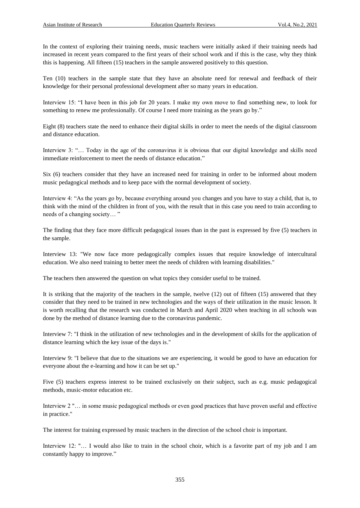In the context of exploring their training needs, music teachers were initially asked if their training needs had increased in recent years compared to the first years of their school work and if this is the case, why they think this is happening. All fifteen (15) teachers in the sample answered positively to this question.

Ten (10) teachers in the sample state that they have an absolute need for renewal and feedback of their knowledge for their personal professional development after so many years in education.

Interview 15: "I have been in this job for 20 years. I make my own move to find something new, to look for something to renew me professionally. Of course I need more training as the years go by."

Eight (8) teachers state the need to enhance their digital skills in order to meet the needs of the digital classroom and distance education.

Interview 3: "… Today in the age of the coronavirus it is obvious that our digital knowledge and skills need immediate reinforcement to meet the needs of distance education."

Six (6) teachers consider that they have an increased need for training in order to be informed about modern music pedagogical methods and to keep pace with the normal development of society.

Interview 4: "As the years go by, because everything around you changes and you have to stay a child, that is, to think with the mind of the children in front of you, with the result that in this case you need to train according to needs of a changing society… "

The finding that they face more difficult pedagogical issues than in the past is expressed by five (5) teachers in the sample.

Interview 13: "We now face more pedagogically complex issues that require knowledge of intercultural education. We also need training to better meet the needs of children with learning disabilities."

The teachers then answered the question on what topics they consider useful to be trained.

It is striking that the majority of the teachers in the sample, twelve (12) out of fifteen (15) answered that they consider that they need to be trained in new technologies and the ways of their utilization in the music lesson. It is worth recalling that the research was conducted in March and April 2020 when teaching in all schools was done by the method of distance learning due to the coronavirus pandemic.

Interview 7: "I think in the utilization of new technologies and in the development of skills for the application of distance learning which the key issue of the days is."

Interview 9: "I believe that due to the situations we are experiencing, it would be good to have an education for everyone about the e-learning and how it can be set up."

Five (5) teachers express interest to be trained exclusively on their subject, such as e.g. music pedagogical methods, music-motor education etc.

Interview 2 "… in some music pedagogical methods or even good practices that have proven useful and effective in practice."

The interest for training expressed by music teachers in the direction of the school choir is important.

Interview 12: "… I would also like to train in the school choir, which is a favorite part of my job and I am constantly happy to improve."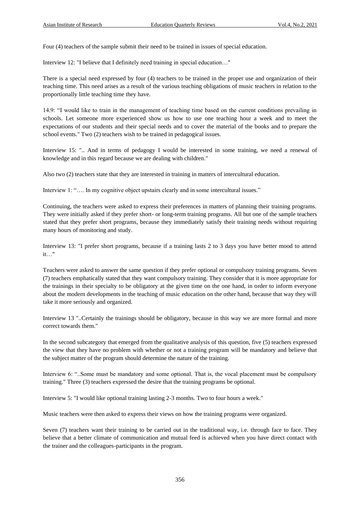Four (4) teachers of the sample submit their need to be trained in issues of special education.

Interview 12: "I believe that I definitely need training in special education…"

There is a special need expressed by four (4) teachers to be trained in the proper use and organization of their teaching time. This need arises as a result of the various teaching obligations of music teachers in relation to the proportionally little teaching time they have.

14.9: "I would like to train in the management of teaching time based on the current conditions prevailing in schools. Let someone more experienced show us how to use one teaching hour a week and to meet the expectations of our students and their special needs and to cover the material of the books and to prepare the school events." Two (2) teachers wish to be trained in pedagogical issues.

Interview 15: ".. And in terms of pedagogy I would be interested in some training, we need a renewal of knowledge and in this regard because we are dealing with children."

Also two (2) teachers state that they are interested in training in matters of intercultural education.

Interview 1: "…. In my cognitive object upstairs clearly and in some intercultural issues."

Continuing, the teachers were asked to express their preferences in matters of planning their training programs. They were initially asked if they prefer short- or long-term training programs. All but one of the sample teachers stated that they prefer short programs, because they immediately satisfy their training needs without requiring many hours of monitoring and study.

Interview 13: "I prefer short programs, because if a training lasts 2 to 3 days you have better mood to attend it…"

Teachers were asked to answer the same question if they prefer optional or compulsory training programs. Seven (7) teachers emphatically stated that they want compulsory training. They consider that it is more appropriate for the trainings in their specialty to be obligatory at the given time on the one hand, in order to inform everyone about the modern developments in the teaching of music education on the other hand, because that way they will take it more seriously and organized.

Interview 13 "..Certainly the trainings should be obligatory, because in this way we are more formal and more correct towards them."

In the second subcategory that emerged from the qualitative analysis of this question, five (5) teachers expressed the view that they have no problem with whether or not a training program will be mandatory and believe that the subject matter of the program should determine the nature of the training.

Interview 6: "..Some must be mandatory and some optional. That is, the vocal placement must be compulsory training." Three (3) teachers expressed the desire that the training programs be optional.

Interview 5: "I would like optional training lasting 2-3 months. Two to four hours a week."

Music teachers were then asked to express their views on how the training programs were organized.

Seven (7) teachers want their training to be carried out in the traditional way, i.e. through face to face. They believe that a better climate of communication and mutual feed is achieved when you have direct contact with the trainer and the colleagues-participants in the program.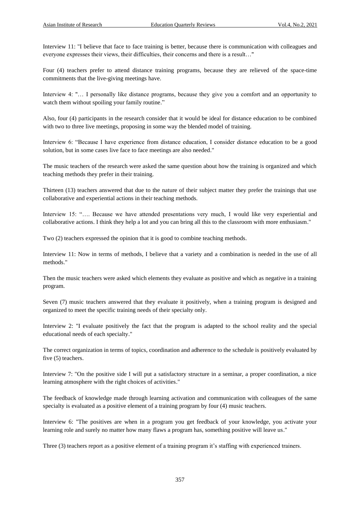Interview 11: "I believe that face to face training is better, because there is communication with colleagues and everyone expresses their views, their difficulties, their concerns and there is a result…"

Four (4) teachers prefer to attend distance training programs, because they are relieved of the space-time commitments that the live-giving meetings have.

Interview 4: "… I personally like distance programs, because they give you a comfort and an opportunity to watch them without spoiling your family routine."

Also, four (4) participants in the research consider that it would be ideal for distance education to be combined with two to three live meetings, proposing in some way the blended model of training.

Interview 6: "Because I have experience from distance education, I consider distance education to be a good solution, but in some cases live face to face meetings are also needed."

The music teachers of the research were asked the same question about how the training is organized and which teaching methods they prefer in their training.

Thirteen (13) teachers answered that due to the nature of their subject matter they prefer the trainings that use collaborative and experiential actions in their teaching methods.

Interview 15: "…. Because we have attended presentations very much, I would like very experiential and collaborative actions. I think they help a lot and you can bring all this to the classroom with more enthusiasm."

Two (2) teachers expressed the opinion that it is good to combine teaching methods.

Interview 11: Now in terms of methods, I believe that a variety and a combination is needed in the use of all methods."

Then the music teachers were asked which elements they evaluate as positive and which as negative in a training program.

Seven (7) music teachers answered that they evaluate it positively, when a training program is designed and organized to meet the specific training needs of their specialty only.

Interview 2: "I evaluate positively the fact that the program is adapted to the school reality and the special educational needs of each specialty."

The correct organization in terms of topics, coordination and adherence to the schedule is positively evaluated by five (5) teachers.

Interview 7: "On the positive side I will put a satisfactory structure in a seminar, a proper coordination, a nice learning atmosphere with the right choices of activities."

The feedback of knowledge made through learning activation and communication with colleagues of the same specialty is evaluated as a positive element of a training program by four (4) music teachers.

Interview 6: "The positives are when in a program you get feedback of your knowledge, you activate your learning role and surely no matter how many flaws a program has, something positive will leave us."

Three (3) teachers report as a positive element of a training program it's staffing with experienced trainers.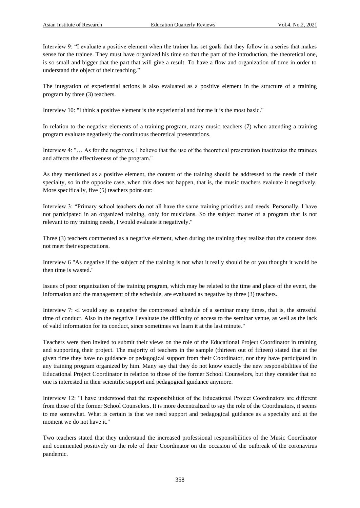Interview 9: "I evaluate a positive element when the trainer has set goals that they follow in a series that makes sense for the trainee. They must have organized his time so that the part of the introduction, the theoretical one, is so small and bigger that the part that will give a result. To have a flow and organization of time in order to understand the object of their teaching."

The integration of experiential actions is also evaluated as a positive element in the structure of a training program by three (3) teachers.

Interview 10: "I think a positive element is the experiential and for me it is the most basic."

In relation to the negative elements of a training program, many music teachers (7) when attending a training program evaluate negatively the continuous theoretical presentations.

Interview 4: "… As for the negatives, I believe that the use of the theoretical presentation inactivates the trainees and affects the effectiveness of the program."

As they mentioned as a positive element, the content of the training should be addressed to the needs of their specialty, so in the opposite case, when this does not happen, that is, the music teachers evaluate it negatively. More specifically, five (5) teachers point out:

Interview 3: "Primary school teachers do not all have the same training priorities and needs. Personally, I have not participated in an organized training, only for musicians. So the subject matter of a program that is not relevant to my training needs, I would evaluate it negatively."

Three (3) teachers commented as a negative element, when during the training they realize that the content does not meet their expectations.

Interview 6 "As negative if the subject of the training is not what it really should be or you thought it would be then time is wasted."

Issues of poor organization of the training program, which may be related to the time and place of the event, the information and the management of the schedule, are evaluated as negative by three (3) teachers.

Interview 7: «I would say as negative the compressed schedule of a seminar many times, that is, the stressful time of conduct. Also in the negative I evaluate the difficulty of access to the seminar venue, as well as the lack of valid information for its conduct, since sometimes we learn it at the last minute."

Teachers were then invited to submit their views on the role of the Educational Project Coordinator in training and supporting their project. The majority of teachers in the sample (thirteen out of fifteen) stated that at the given time they have no guidance or pedagogical support from their Coordinator, nor they have participated in any training program organized by him. Many say that they do not know exactly the new responsibilities of the Educational Project Coordinator in relation to those of the former School Counselors, but they consider that no one is interested in their scientific support and pedagogical guidance anymore.

Interview 12: "I have understood that the responsibilities of the Educational Project Coordinators are different from those of the former School Counselors. It is more decentralized to say the role of the Coordinators, it seems to me somewhat. What is certain is that we need support and pedagogical guidance as a specialty and at the moment we do not have it."

Two teachers stated that they understand the increased professional responsibilities of the Music Coordinator and commented positively on the role of their Coordinator on the occasion of the outbreak of the coronavirus pandemic.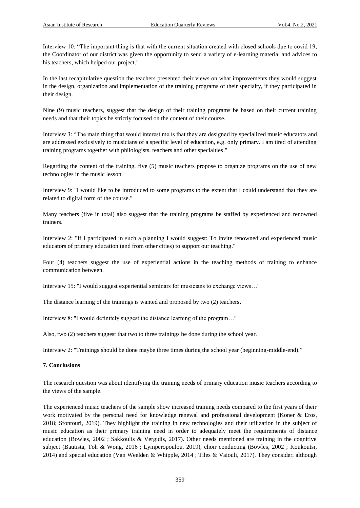Interview 10: "The important thing is that with the current situation created with closed schools due to covid 19, the Coordinator of our district was given the opportunity to send a variety of e-learning material and advices to his teachers, which helped our project."

In the last recapitulative question the teachers presented their views on what improvements they would suggest in the design, organization and implementation of the training programs of their specialty, if they participated in their design.

Nine (9) music teachers, suggest that the design of their training programs be based on their current training needs and that their topics be strictly focused on the content of their course.

Interview 3: "The main thing that would interest me is that they are designed by specialized music educators and are addressed exclusively to musicians of a specific level of education, e.g. only primary. I am tired of attending training programs together with philologists, teachers and other specialties."

Regarding the content of the training, five (5) music teachers propose to organize programs on the use of new technologies in the music lesson.

Interview 9: "I would like to be introduced to some programs to the extent that I could understand that they are related to digital form of the course."

Many teachers (five in total) also suggest that the training programs be staffed by experienced and renowned trainers.

Interview 2: "If I participated in such a planning I would suggest: To invite renowned and experienced music educators of primary education (and from other cities) to support our teaching."

Four (4) teachers suggest the use of experiential actions in the teaching methods of training to enhance communication between.

Interview 15: "I would suggest experiential seminars for musicians to exchange views…"

The distance learning of the trainings is wanted and proposed by two (2) teachers.

Interview 8: "I would definitely suggest the distance learning of the program…"

Also, two (2) teachers suggest that two to three trainings be done during the school year.

Interview 2: "Trainings should be done maybe three times during the school year (beginning-middle-end)."

#### **7. Conclusions**

The research question was about identifying the training needs of primary education music teachers according to the views of the sample.

The experienced music teachers of the sample show increased training needs compared to the first years of their work motivated by the personal need for knowledge renewal and professional development (Koner & Eros, 2018; Sfontouri, 2019). They highlight the training in new technologies and their utilization in the subject of music education as their primary training need in order to adequately meet the requirements of distance education (Bowles, 2002 ; Sakkoulis & Vergidis, 2017). Other needs mentioned are training in the cognitive subject (Bautista, Toh & Wong, 2016 ; Lymperopoulou, 2019), choir conducting (Bowles, 2002 ; Koukoutsi, 2014) and special education (Van Weelden & Whipple, 2014 ; Tiles & Vaiouli, 2017). They consider, although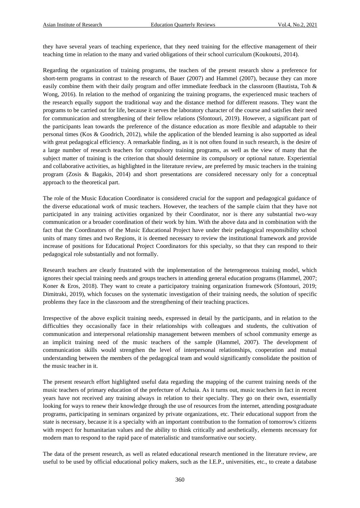they have several years of teaching experience, that they need training for the effective management of their teaching time in relation to the many and varied obligations of their school curriculum (Koukoutsi, 2014).

Regarding the organization of training programs, the teachers of the present research show a preference for short-term programs in contrast to the research of Bauer (2007) and Hammel (2007), because they can more easily combine them with their daily program and offer immediate feedback in the classroom (Bautista, Toh & Wong, 2016). In relation to the method of organizing the training programs, the experienced music teachers of the research equally support the traditional way and the distance method for different reasons. They want the programs to be carried out for life, because it serves the laboratory character of the course and satisfies their need for communication and strengthening of their fellow relations (Sfontouri, 2019). However, a significant part of the participants lean towards the preference of the distance education as more flexible and adaptable to their personal times (Kos & Goodrich, 2012), while the application of the blended learning is also supported as ideal with great pedagogical efficiency. A remarkable finding, as it is not often found in such research, is the desire of a large number of research teachers for compulsory training programs, as well as the view of many that the subject matter of training is the criterion that should determine its compulsory or optional nature. Experiential and collaborative activities, as highlighted in the literature review, are preferred by music teachers in the training program (Zosis & Bagakis, 2014) and short presentations are considered necessary only for a conceptual approach to the theoretical part.

The role of the Music Education Coordinator is considered crucial for the support and pedagogical guidance of the diverse educational work of music teachers. However, the teachers of the sample claim that they have not participated in any training activities organized by their Coordinator, nor is there any substantial two-way communication or a broader coordination of their work by him. With the above data and in combination with the fact that the Coordinators of the Music Educational Project have under their pedagogical responsibility school units of many times and two Regions, it is deemed necessary to review the institutional framework and provide increase of positions for Educational Project Coordinators for this specialty, so that they can respond to their pedagogical role substantially and not formally.

Research teachers are clearly frustrated with the implementation of the heterogeneous training model, which ignores their special training needs and groups teachers in attending general education programs (Hammel, 2007; Koner & Eros, 2018). They want to create a participatory training organization framework (Sfontouri, 2019; Dimitraki, 2019), which focuses on the systematic investigation of their training needs, the solution of specific problems they face in the classroom and the strengthening of their teaching practices.

Irrespective of the above explicit training needs, expressed in detail by the participants, and in relation to the difficulties they occasionally face in their relationships with colleagues and students, the cultivation of communication and interpersonal relationship management between members of school community emerge as an implicit training need of the music teachers of the sample (Hammel, 2007). The development of communication skills would strengthen the level of interpersonal relationships, cooperation and mutual understanding between the members of the pedagogical team and would significantly consolidate the position of the music teacher in it.

The present research effort highlighted useful data regarding the mapping of the current training needs of the music teachers of primary education of the prefecture of Achaia. As it turns out, music teachers in fact in recent years have not received any training always in relation to their specialty. They go on their own, essentially looking for ways to renew their knowledge through the use of resources from the internet, attending postgraduate programs, participating in seminars organized by private organizations, etc. Their educational support from the state is necessary, because it is a specialty with an important contribution to the formation of tomorrow's citizens with respect for humanitarian values and the ability to think critically and aesthetically, elements necessary for modern man to respond to the rapid pace of materialistic and transformative our society.

The data of the present research, as well as related educational research mentioned in the literature review, are useful to be used by official educational policy makers, such as the I.E.P., universities, etc., to create a database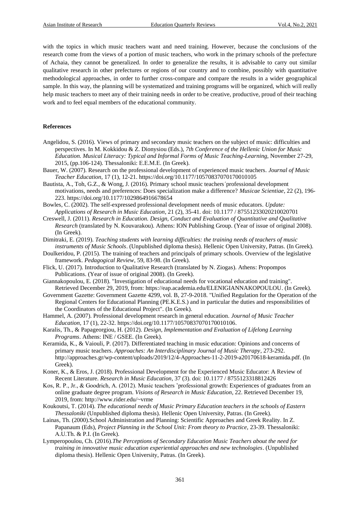with the topics in which music teachers want and need training. However, because the conclusions of the research come from the views of a portion of music teachers, who work in the primary schools of the prefecture of Achaia, they cannot be generalized. In order to generalize the results, it is advisable to carry out similar qualitative research in other prefectures or regions of our country and to combine, possibly with quantitative methodological approaches, in order to further cross-compare and compare the results in a wider geographical sample. In this way, the planning will be systematized and training programs will be organized, which will really help music teachers to meet any of their training needs in order to be creative, productive, proud of their teaching work and to feel equal members of the educational community.

#### **References**

- Angelidou, S. (2016). Views of primary and secondary music teachers on the subject of music: difficulties and perspectives. In M. Kokkidou & Z. Dionysiou (Eds.), *7th Conference of the Hellenic Union for Music Education. Musical Literacy: Typical and Informal Forms of Music Teaching-Learning*, November 27-29, 2015, (pp.106-124). Thessaloniki: Ε.Ε.Μ.Ε. (In Greek).
- Bauer, W. (2007). Research on the professional development of experienced music teachers. *Journal of Music Teacher Education*, 17 (1), 12-21. [https://doi.org/10.1177/10570837070170010105](https://doi.org/10.1177%2F10570837070170010105)
- Bautista, A., Toh, G.Z., & Wong, J. (2016). Primary school music teachers' professional development motivations, needs and preferences: Does specialization make a difference? *Musicae Scientiae*, 22 (2), 196- 223. [https://doi.org/10.1177/1029864916678654](https://doi.org/10.1177%2F1029864916678654)
- Bowles, C. (2002). The self-expressed professional development needs of music educators. *Update: Applications of Research in Music Education*, 21 (2), 35-41. doi: 10.1177 / 87551233020210020701
- Creswell, J. (2011). *Research in Education. Design, Conduct and Evaluation of Quantitative and Qualitative Research* (translated by N. Kouvarakou). Athens: ION Publishing Group. (Year of issue of original 2008). (In Greek).
- Dimitraki, E. (2019). *Teaching students with learning difficulties: the training needs of teachers of music instruments of Music Schools*. (Unpublished diploma thesis). Hellenic Open University, Patras. (In Greek).
- Doulkeridou, P. (2015). The training of teachers and principals of primary schools. Overview of the legislative framework. *Pedagogical Review*, 59, 83-98. (In Greek).
- Flick, U. (2017). Introduction to Qualitative Research (translated by N. Ziogas). Athens: Propompos Publications. (Year of issue of original 2008). (In Greek).
- Giannakopoulou, E. (2018). "Investigation of educational needs for vocational education and training". Retrieved December 29, 2019, from[: https://eap.academia.edu/ELENIGIANNAKOPOULOU.](https://eap.academia.edu/ELENIGIANNAKOPOULOU) (In Greek).
- Government Gazette: Government Gazette 4299, vol. B, 27-9-2018. "Unified Regulation for the Operation of the Regional Centers for Educational Planning (PE.K.E.S.) and in particular the duties and responsibilities of the Coordinators of the Educational Project". (In Greek).
- Hammel, A. (2007). Professional development research in general education. *Journal of Music Teacher Education*, 17 (1), 22-32. [https://doi.org/10.1177/10570837070170010106.](https://doi.org/10.1177%2F10570837070170010106)
- Karalis, Th., & Papageorgiou, H. (2012). *Design, Implementation and Evaluation of Lifelong Learning Programs*. Athens: INE / GSEE. (In Greek).
- Keramida, K., & Vaiouli, P. (2017). Differentiated teaching in music education: Opinions and concerns of primary music teachers. *Approaches: An Interdisciplinary Journal of Music Therapy*, 273-292. [http://approaches.gr/wp-content/uploads/2019/12/4-Approaches-11-2-2019-a20170618-keramida.pdf.](http://approaches.gr/wp-content/uploads/2019/12/4-Approaches-11-2-2019-a20170618-keramida.pdf) (In Greek).
- Koner, K., & Eros, J. (2018). Professional Development for the Experienced Music Educator: A Review of Recent Literature. *Research in Music Education*, 37 (3). doi: 10.1177 / 8755123318812426
- Kos, R. P., Jr., & Goodrich, A. (2012). Music teachers 'professional growth: Experiences of graduates from an online graduate degree program. *Visions of Research in Music Education*, 22. Retrieved December 19, 2019, from[: http://www.rider.edu/~vrme](http://www.rider.edu/~vrme)
- Koukoutsi, Τ. (2014). *The educational needs of Music Primary Education teachers in the schools of Eastern Thessaloniki* (Unpublished diploma thesis). Hellenic Open University, Patras. (In Greek).
- Lainas, Th. (2000).School Administration and Planning: Scientific Approaches and Greek Reality. In Z. Papanaum (Eds), *Project Planning in the School Unit: From theory to Practice,* 23-39. Thessaloniki: Α.U.Th. & P.Ι. (In Greek).
- Lymperopoulou, Ch. (2016).*The Perceptions of Secondary Education Music Teachers about the need for training in innovative music education experiential approaches and new technologies*. (Unpublished diploma thesis). Hellenic Open University, Patras. (In Greek).